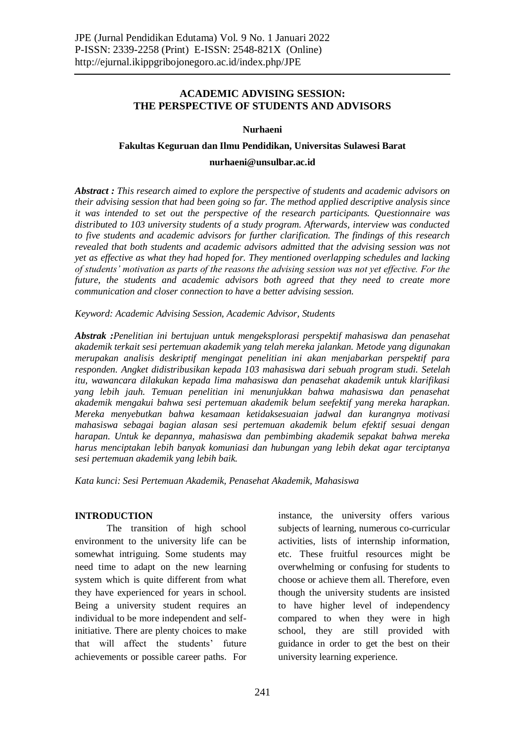# **ACADEMIC ADVISING SESSION: THE PERSPECTIVE OF STUDENTS AND ADVISORS**

### **Nurhaeni**

### **Fakultas Keguruan dan Ilmu Pendidikan, Universitas Sulawesi Barat**

### **nurhaeni@unsulbar.ac.id**

*Abstract : This research aimed to explore the perspective of students and academic advisors on their advising session that had been going so far. The method applied descriptive analysis since it was intended to set out the perspective of the research participants. Questionnaire was distributed to 103 university students of a study program. Afterwards, interview was conducted to five students and academic advisors for further clarification. The findings of this research revealed that both students and academic advisors admitted that the advising session was not yet as effective as what they had hoped for. They mentioned overlapping schedules and lacking of students' motivation as parts of the reasons the advising session was not yet effective. For the future, the students and academic advisors both agreed that they need to create more communication and closer connection to have a better advising session.* 

*Keyword: Academic Advising Session, Academic Advisor, Students* 

*Abstrak :Penelitian ini bertujuan untuk mengeksplorasi perspektif mahasiswa dan penasehat akademik terkait sesi pertemuan akademik yang telah mereka jalankan. Metode yang digunakan merupakan analisis deskriptif mengingat penelitian ini akan menjabarkan perspektif para responden. Angket didistribusikan kepada 103 mahasiswa dari sebuah program studi. Setelah itu, wawancara dilakukan kepada lima mahasiswa dan penasehat akademik untuk klarifikasi yang lebih jauh. Temuan penelitian ini menunjukkan bahwa mahasiswa dan penasehat akademik mengakui bahwa sesi pertemuan akademik belum seefektif yang mereka harapkan. Mereka menyebutkan bahwa kesamaan ketidaksesuaian jadwal dan kurangnya motivasi mahasiswa sebagai bagian alasan sesi pertemuan akademik belum efektif sesuai dengan harapan. Untuk ke depannya, mahasiswa dan pembimbing akademik sepakat bahwa mereka harus menciptakan lebih banyak komuniasi dan hubungan yang lebih dekat agar terciptanya sesi pertemuan akademik yang lebih baik.*

*Kata kunci: Sesi Pertemuan Akademik, Penasehat Akademik, Mahasiswa*

## **INTRODUCTION**

The transition of high school environment to the university life can be somewhat intriguing. Some students may need time to adapt on the new learning system which is quite different from what they have experienced for years in school. Being a university student requires an individual to be more independent and selfinitiative. There are plenty choices to make that will affect the students' future achievements or possible career paths. For instance, the university offers various subjects of learning, numerous co-curricular activities, lists of internship information, etc. These fruitful resources might be overwhelming or confusing for students to choose or achieve them all. Therefore, even though the university students are insisted to have higher level of independency compared to when they were in high school, they are still provided with guidance in order to get the best on their university learning experience.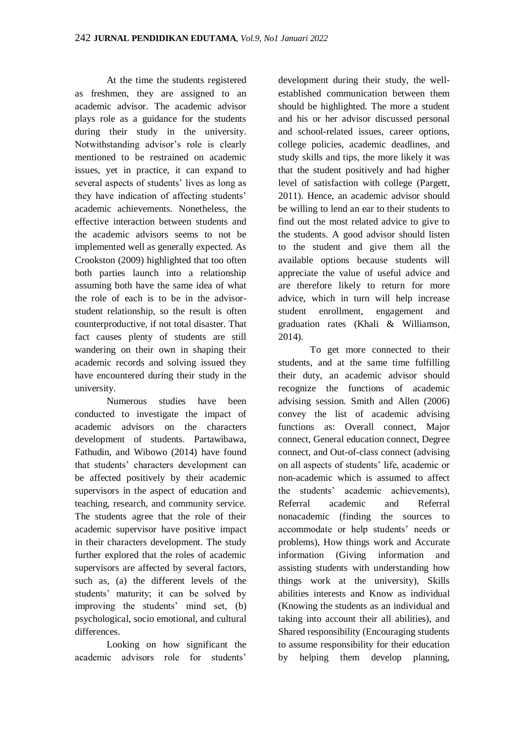At the time the students registered as freshmen, they are assigned to an academic advisor. The academic advisor plays role as a guidance for the students during their study in the university. Notwithstanding advisor's role is clearly mentioned to be restrained on academic issues, yet in practice, it can expand to several aspects of students' lives as long as they have indication of affecting students' academic achievements. Nonetheless, the effective interaction between students and the academic advisors seems to not be implemented well as generally expected. As Crookston (2009) highlighted that too often both parties launch into a relationship assuming both have the same idea of what the role of each is to be in the advisorstudent relationship, so the result is often counterproductive, if not total disaster. That fact causes plenty of students are still wandering on their own in shaping their academic records and solving issued they have encountered during their study in the university.

Numerous studies have been conducted to investigate the impact of academic advisors on the characters development of students. Partawibawa, Fathudin, and Wibowo (2014) have found that students' characters development can be affected positively by their academic supervisors in the aspect of education and teaching, research, and community service. The students agree that the role of their academic supervisor have positive impact in their characters development. The study further explored that the roles of academic supervisors are affected by several factors, such as, (a) the different levels of the students' maturity; it can be solved by improving the students' mind set, (b) psychological, socio emotional, and cultural differences.

Looking on how significant the academic advisors role for students'

development during their study, the wellestablished communication between them should be highlighted. The more a student and his or her advisor discussed personal and school-related issues, career options, college policies, academic deadlines, and study skills and tips, the more likely it was that the student positively and had higher level of satisfaction with college (Pargett, 2011). Hence, an academic advisor should be willing to lend an ear to their students to find out the most related advice to give to the students. A good advisor should listen to the student and give them all the available options because students will appreciate the value of useful advice and are therefore likely to return for more advice, which in turn will help increase student enrollment, engagement and graduation rates (Khali & Williamson, 2014).

To get more connected to their students, and at the same time fulfilling their duty, an academic advisor should recognize the functions of academic advising session. Smith and Allen (2006) convey the list of academic advising functions as: Overall connect, Major connect, General education connect, Degree connect, and Out-of-class connect (advising on all aspects of students' life, academic or non-academic which is assumed to affect the students' academic achievements), Referral academic and Referral nonacademic (finding the sources to accommodate or help students' needs or problems), How things work and Accurate information (Giving information and assisting students with understanding how things work at the university), Skills abilities interests and Know as individual (Knowing the students as an individual and taking into account their all abilities), and Shared responsibility (Encouraging students to assume responsibility for their education by helping them develop planning,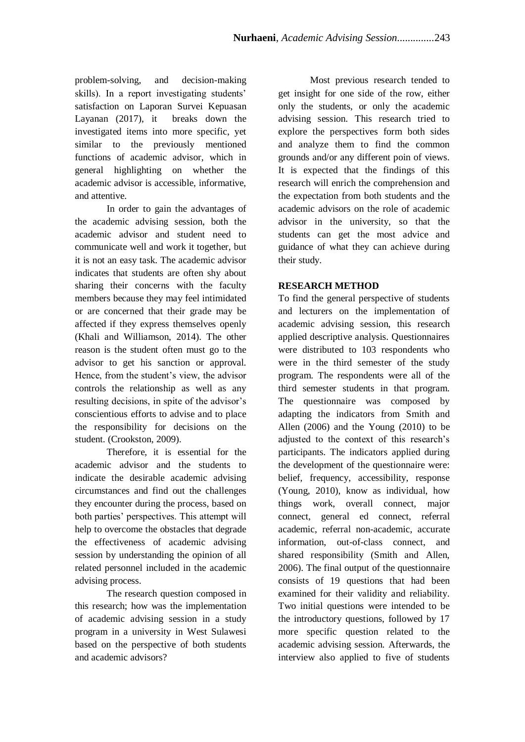problem-solving, and decision-making skills). In a report investigating students' satisfaction on Laporan Survei Kepuasan Layanan (2017), it breaks down the investigated items into more specific, yet similar to the previously mentioned functions of academic advisor, which in general highlighting on whether the academic advisor is accessible, informative, and attentive.

In order to gain the advantages of the academic advising session, both the academic advisor and student need to communicate well and work it together, but it is not an easy task. The academic advisor indicates that students are often shy about sharing their concerns with the faculty members because they may feel intimidated or are concerned that their grade may be affected if they express themselves openly (Khali and Williamson, 2014). The other reason is the student often must go to the advisor to get his sanction or approval. Hence, from the student's view, the advisor controls the relationship as well as any resulting decisions, in spite of the advisor's conscientious efforts to advise and to place the responsibility for decisions on the student. (Crookston, 2009).

Therefore, it is essential for the academic advisor and the students to indicate the desirable academic advising circumstances and find out the challenges they encounter during the process, based on both parties' perspectives. This attempt will help to overcome the obstacles that degrade the effectiveness of academic advising session by understanding the opinion of all related personnel included in the academic advising process.

The research question composed in this research; how was the implementation of academic advising session in a study program in a university in West Sulawesi based on the perspective of both students and academic advisors?

Most previous research tended to get insight for one side of the row, either only the students, or only the academic advising session. This research tried to explore the perspectives form both sides and analyze them to find the common grounds and/or any different poin of views. It is expected that the findings of this research will enrich the comprehension and the expectation from both students and the academic advisors on the role of academic advisor in the university, so that the students can get the most advice and guidance of what they can achieve during their study.

# **RESEARCH METHOD**

To find the general perspective of students and lecturers on the implementation of academic advising session, this research applied descriptive analysis. Questionnaires were distributed to 103 respondents who were in the third semester of the study program. The respondents were all of the third semester students in that program. The questionnaire was composed by adapting the indicators from Smith and Allen (2006) and the Young (2010) to be adjusted to the context of this research's participants. The indicators applied during the development of the questionnaire were: belief, frequency, accessibility, response (Young, 2010), know as individual, how things work, overall connect, major connect, general ed connect, referral academic, referral non-academic, accurate information, out-of-class connect, and shared responsibility (Smith and Allen, 2006). The final output of the questionnaire consists of 19 questions that had been examined for their validity and reliability. Two initial questions were intended to be the introductory questions, followed by 17 more specific question related to the academic advising session. Afterwards, the interview also applied to five of students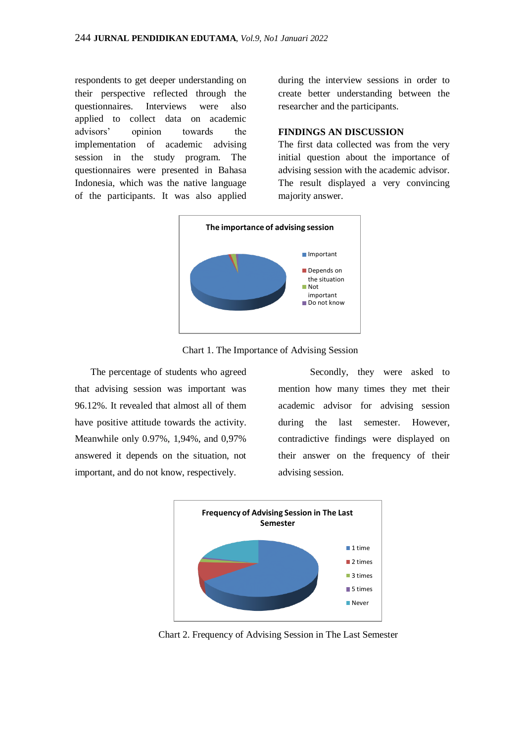respondents to get deeper understanding on their perspective reflected through the questionnaires. Interviews were also applied to collect data on academic advisors' opinion towards the implementation of academic advising session in the study program. The questionnaires were presented in Bahasa Indonesia, which was the native language of the participants. It was also applied during the interview sessions in order to create better understanding between the researcher and the participants.

### **FINDINGS AN DISCUSSION**

The first data collected was from the very initial question about the importance of advising session with the academic advisor. The result displayed a very convincing majority answer.



Chart 1. The Importance of Advising Session

The percentage of students who agreed that advising session was important was 96.12%. It revealed that almost all of them have positive attitude towards the activity. Meanwhile only 0.97%, 1,94%, and 0,97% answered it depends on the situation, not important, and do not know, respectively.

Secondly, they were asked to mention how many times they met their academic advisor for advising session during the last semester. However, contradictive findings were displayed on their answer on the frequency of their advising session.



Chart 2. Frequency of Advising Session in The Last Semester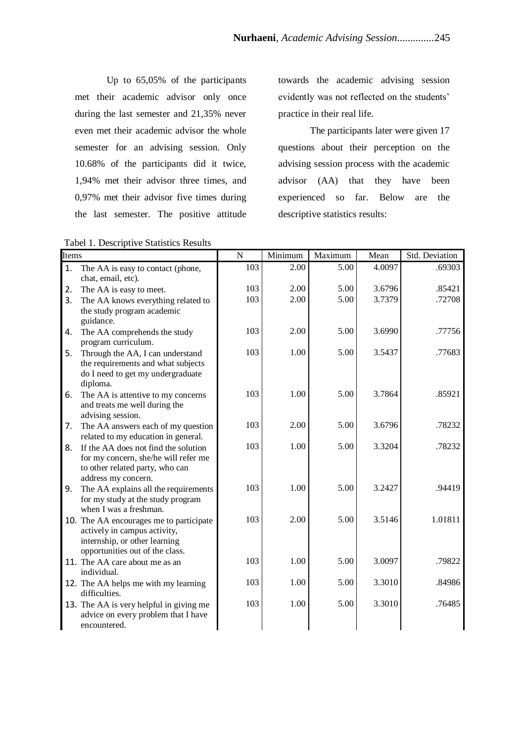Up to 65,05% of the participants met their academic advisor only once during the last semester and 21,35% never even met their academic advisor the whole semester for an advising session. Only 10.68% of the participants did it twice, 1,94% met their advisor three times, and 0,97% met their advisor five times during the last semester. The positive attitude

Tabel 1. Descriptive Statistics Results

towards the academic advising session evidently was not reflected on the students' practice in their real life.

The participants later were given 17 questions about their perception on the advising session process with the academic advisor (AA) that they have been experienced so far. Below are the descriptive statistics results:

| Items |                                                                                                                                             | N   | Minimum | Maximum | Mean   | Std. Deviation |
|-------|---------------------------------------------------------------------------------------------------------------------------------------------|-----|---------|---------|--------|----------------|
| 1.    | The AA is easy to contact (phone,                                                                                                           | 103 | 2.00    | 5.00    | 4.0097 | .69303         |
| 2.    | chat, email, etc).<br>The AA is easy to meet.                                                                                               | 103 | 2.00    | 5.00    | 3.6796 | .85421         |
| 3.    | The AA knows everything related to<br>the study program academic<br>guidance.                                                               | 103 | 2.00    | 5.00    | 3.7379 | .72708         |
| 4.    | The AA comprehends the study<br>program curriculum.                                                                                         | 103 | 2.00    | 5.00    | 3.6990 | .77756         |
| 5.    | Through the AA, I can understand<br>the requirements and what subjects<br>do I need to get my undergraduate<br>diploma.                     | 103 | 1.00    | 5.00    | 3.5437 | .77683         |
| 6.    | The AA is attentive to my concerns<br>and treats me well during the<br>advising session.                                                    | 103 | 1.00    | 5.00    | 3.7864 | .85921         |
| 7.    | The AA answers each of my question<br>related to my education in general.                                                                   | 103 | 2.00    | 5.00    | 3.6796 | .78232         |
| 8.    | If the AA does not find the solution<br>for my concern, she/he will refer me<br>to other related party, who can<br>address my concern.      | 103 | 1.00    | 5.00    | 3.3204 | .78232         |
| 9.    | The AA explains all the requirements<br>for my study at the study program<br>when I was a freshman.                                         | 103 | 1.00    | 5.00    | 3.2427 | .94419         |
|       | 10. The AA encourages me to participate<br>actively in campus activity,<br>internship, or other learning<br>opportunities out of the class. | 103 | 2.00    | 5.00    | 3.5146 | 1.01811        |
|       | 11. The AA care about me as an<br>individual.                                                                                               | 103 | 1.00    | 5.00    | 3.0097 | .79822         |
|       | 12. The AA helps me with my learning<br>difficulties.                                                                                       | 103 | 1.00    | 5.00    | 3.3010 | .84986         |
|       | 13. The AA is very helpful in giving me<br>advice on every problem that I have<br>encountered.                                              | 103 | 1.00    | 5.00    | 3.3010 | .76485         |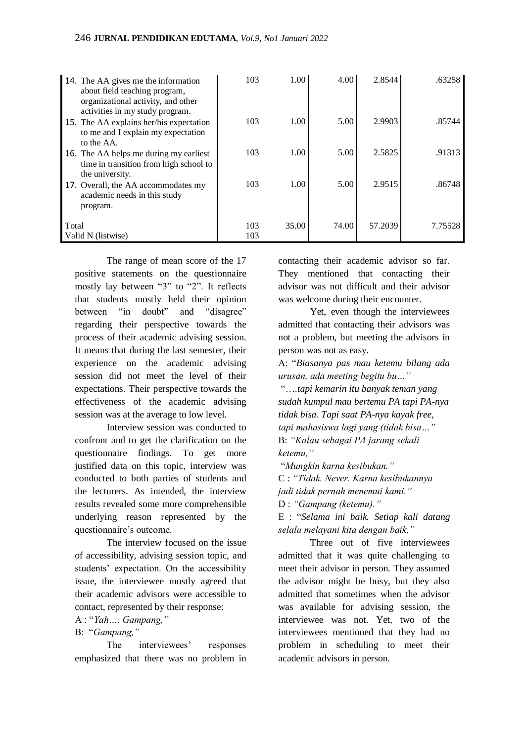|                             | 14. The AA gives me the information<br>about field teaching program,<br>organizational activity, and other<br>activities in my study program. | 103        | 1.00  | 4.00  | 2.8544  | .63258  |
|-----------------------------|-----------------------------------------------------------------------------------------------------------------------------------------------|------------|-------|-------|---------|---------|
|                             | 15. The AA explains her/his expectation<br>to me and I explain my expectation<br>to the AA.                                                   | 103        | 1.00  | 5.00  | 2.9903  | .85744  |
|                             | 16. The AA helps me during my earliest<br>time in transition from high school to<br>the university.                                           | 103        | 1.00  | 5.00  | 2.5825  | .91313  |
|                             | 17. Overall, the AA accommodates my<br>academic needs in this study<br>program.                                                               | 103        | 1.00  | 5.00  | 2.9515  | .86748  |
| Total<br>Valid N (listwise) |                                                                                                                                               | 103<br>103 | 35.00 | 74.00 | 57.2039 | 7.75528 |

The range of mean score of the 17 positive statements on the questionnaire mostly lay between "3" to "2". It reflects that students mostly held their opinion between "in doubt" and "disagree" regarding their perspective towards the process of their academic advising session. It means that during the last semester, their experience on the academic advising session did not meet the level of their expectations. Their perspective towards the effectiveness of the academic advising session was at the average to low level.

Interview session was conducted to confront and to get the clarification on the questionnaire findings. To get more justified data on this topic, interview was conducted to both parties of students and the lecturers. As intended, the interview results revealed some more comprehensible underlying reason represented by the questionnaire's outcome.

The interview focused on the issue of accessibility, advising session topic, and students' expectation. On the accessibility issue, the interviewee mostly agreed that their academic advisors were accessible to contact, represented by their response:

A : "*Yah…. Gampang,"*

#### B: "*Gampang,"*

The interviewees' responses emphasized that there was no problem in contacting their academic advisor so far. They mentioned that contacting their advisor was not difficult and their advisor was welcome during their encounter.

Yet, even though the interviewees admitted that contacting their advisors was not a problem, but meeting the advisors in person was not as easy.

A: "*Biasanya pas mau ketemu bilang ada urusan, ada meeting begitu bu…"*

"….*tapi kemarin itu banyak teman yang sudah kumpul mau bertemu PA tapi PA-nya tidak bisa. Tapi saat PA-nya kayak free, tapi mahasiswa lagi yang (tidak bisa…"* B: *"Kalau sebagai PA jarang sekali ketemu,"*

"*Mungkin karna kesibukan."* C : *"Tidak. Never. Karna kesibukannya jadi tidak pernah menemui kami."* D : *"Gampang (ketemu)."* E : "*Selama ini baik. Setiap kali datang selalu melayani kita dengan baik,"*

Three out of five interviewees admitted that it was quite challenging to meet their advisor in person. They assumed the advisor might be busy, but they also admitted that sometimes when the advisor was available for advising session, the interviewee was not. Yet, two of the interviewees mentioned that they had no problem in scheduling to meet their academic advisors in person.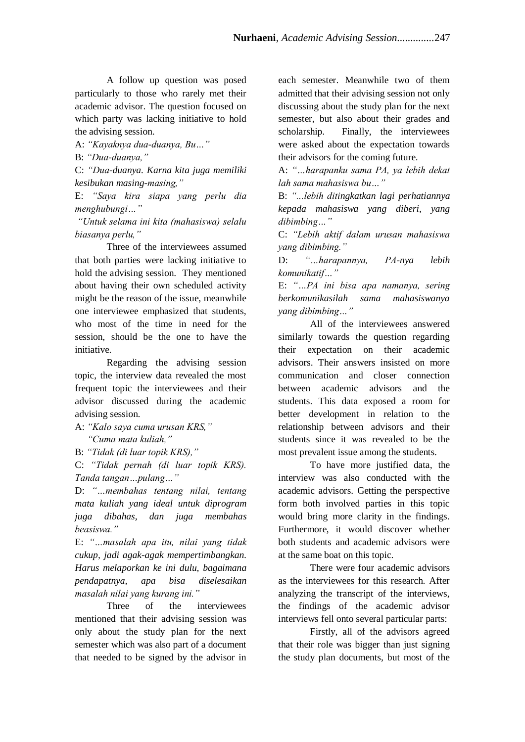A follow up question was posed particularly to those who rarely met their academic advisor. The question focused on which party was lacking initiative to hold the advising session.

A: *"Kayaknya dua-duanya, Bu…"*

B: *"Dua-duanya,"*

C: *"Dua-duanya. Karna kita juga memiliki kesibukan masing-masing,"*

E: *"Saya kira siapa yang perlu dia menghubungi…"*

*"Untuk selama ini kita (mahasiswa) selalu biasanya perlu,"* 

Three of the interviewees assumed that both parties were lacking initiative to hold the advising session. They mentioned about having their own scheduled activity might be the reason of the issue, meanwhile one interviewee emphasized that students, who most of the time in need for the session, should be the one to have the initiative.

Regarding the advising session topic, the interview data revealed the most frequent topic the interviewees and their advisor discussed during the academic advising session.

A: *"Kalo saya cuma urusan KRS," "Cuma mata kuliah,"*

B: *"Tidak (di luar topik KRS),"*

C: *"Tidak pernah (di luar topik KRS). Tanda tangan…pulang…"*

D: *"…membahas tentang nilai, tentang mata kuliah yang ideal untuk diprogram juga dibahas, dan juga membahas beasiswa."*

E: *"…masalah apa itu, nilai yang tidak cukup, jadi agak-agak mempertimbangkan. Harus melaporkan ke ini dulu, bagaimana pendapatnya, apa bisa diselesaikan masalah nilai yang kurang ini."*

Three of the interviewees mentioned that their advising session was only about the study plan for the next semester which was also part of a document that needed to be signed by the advisor in

each semester. Meanwhile two of them admitted that their advising session not only discussing about the study plan for the next semester, but also about their grades and scholarship. Finally, the interviewees were asked about the expectation towards their advisors for the coming future.

A: *"…harapanku sama PA, ya lebih dekat lah sama mahasiswa bu…"*

B: *"...lebih ditingkatkan lagi perhatiannya kepada mahasiswa yang diberi, yang dibimbing…"*

C: *"Lebih aktif dalam urusan mahasiswa yang dibimbing."*

D: *"…harapannya, PA-nya lebih komunikatif…"*

E: *"…PA ini bisa apa namanya, sering berkomunikasilah sama mahasiswanya yang dibimbing…"*

All of the interviewees answered similarly towards the question regarding their expectation on their academic advisors. Their answers insisted on more communication and closer connection between academic advisors and the students. This data exposed a room for better development in relation to the relationship between advisors and their students since it was revealed to be the most prevalent issue among the students.

To have more justified data, the interview was also conducted with the academic advisors. Getting the perspective form both involved parties in this topic would bring more clarity in the findings. Furthermore, it would discover whether both students and academic advisors were at the same boat on this topic.

There were four academic advisors as the interviewees for this research. After analyzing the transcript of the interviews, the findings of the academic advisor interviews fell onto several particular parts:

Firstly, all of the advisors agreed that their role was bigger than just signing the study plan documents, but most of the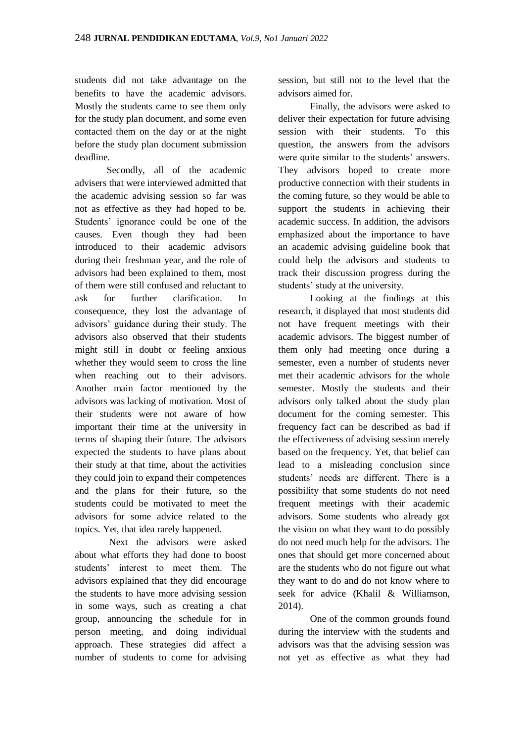students did not take advantage on the benefits to have the academic advisors. Mostly the students came to see them only for the study plan document, and some even contacted them on the day or at the night before the study plan document submission deadline.

Secondly, all of the academic advisers that were interviewed admitted that the academic advising session so far was not as effective as they had hoped to be. Students' ignorance could be one of the causes. Even though they had been introduced to their academic advisors during their freshman year, and the role of advisors had been explained to them, most of them were still confused and reluctant to ask for further clarification. In consequence, they lost the advantage of advisors' guidance during their study. The advisors also observed that their students might still in doubt or feeling anxious whether they would seem to cross the line when reaching out to their advisors. Another main factor mentioned by the advisors was lacking of motivation. Most of their students were not aware of how important their time at the university in terms of shaping their future. The advisors expected the students to have plans about their study at that time, about the activities they could join to expand their competences and the plans for their future, so the students could be motivated to meet the advisors for some advice related to the topics. Yet, that idea rarely happened.

Next the advisors were asked about what efforts they had done to boost students' interest to meet them. The advisors explained that they did encourage the students to have more advising session in some ways, such as creating a chat group, announcing the schedule for in person meeting, and doing individual approach. These strategies did affect a number of students to come for advising

session, but still not to the level that the advisors aimed for.

Finally, the advisors were asked to deliver their expectation for future advising session with their students. To this question, the answers from the advisors were quite similar to the students' answers. They advisors hoped to create more productive connection with their students in the coming future, so they would be able to support the students in achieving their academic success. In addition, the advisors emphasized about the importance to have an academic advising guideline book that could help the advisors and students to track their discussion progress during the students' study at the university.

Looking at the findings at this research, it displayed that most students did not have frequent meetings with their academic advisors. The biggest number of them only had meeting once during a semester, even a number of students never met their academic advisors for the whole semester. Mostly the students and their advisors only talked about the study plan document for the coming semester. This frequency fact can be described as bad if the effectiveness of advising session merely based on the frequency. Yet, that belief can lead to a misleading conclusion since students' needs are different. There is a possibility that some students do not need frequent meetings with their academic advisors. Some students who already got the vision on what they want to do possibly do not need much help for the advisors. The ones that should get more concerned about are the students who do not figure out what they want to do and do not know where to seek for advice (Khalil & Williamson, 2014).

One of the common grounds found during the interview with the students and advisors was that the advising session was not yet as effective as what they had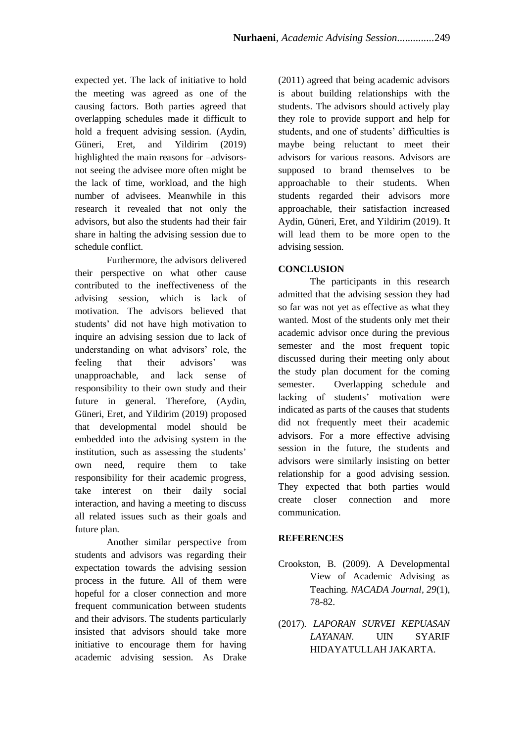expected yet. The lack of initiative to hold the meeting was agreed as one of the causing factors. Both parties agreed that overlapping schedules made it difficult to hold a frequent advising session. (Aydin, Güneri, Eret, and Yildirim (2019) highlighted the main reasons for –advisorsnot seeing the advisee more often might be the lack of time, workload, and the high number of advisees. Meanwhile in this research it revealed that not only the advisors, but also the students had their fair share in halting the advising session due to schedule conflict.

Furthermore, the advisors delivered their perspective on what other cause contributed to the ineffectiveness of the advising session, which is lack of motivation. The advisors believed that students' did not have high motivation to inquire an advising session due to lack of understanding on what advisors' role, the feeling that their advisors' was unapproachable, and lack sense of responsibility to their own study and their future in general. Therefore, (Aydin, Güneri, Eret, and Yildirim (2019) proposed that developmental model should be embedded into the advising system in the institution, such as assessing the students' own need, require them to take responsibility for their academic progress, take interest on their daily social interaction, and having a meeting to discuss all related issues such as their goals and future plan.

Another similar perspective from students and advisors was regarding their expectation towards the advising session process in the future. All of them were hopeful for a closer connection and more frequent communication between students and their advisors. The students particularly insisted that advisors should take more initiative to encourage them for having academic advising session. As Drake

(2011) agreed that being academic advisors is about building relationships with the students. The advisors should actively play they role to provide support and help for students, and one of students' difficulties is maybe being reluctant to meet their advisors for various reasons. Advisors are supposed to brand themselves to be approachable to their students. When students regarded their advisors more approachable, their satisfaction increased Aydin, Güneri, Eret, and Yildirim (2019). It will lead them to be more open to the advising session.

## **CONCLUSION**

The participants in this research admitted that the advising session they had so far was not yet as effective as what they wanted. Most of the students only met their academic advisor once during the previous semester and the most frequent topic discussed during their meeting only about the study plan document for the coming semester. Overlapping schedule and lacking of students' motivation were indicated as parts of the causes that students did not frequently meet their academic advisors. For a more effective advising session in the future, the students and advisors were similarly insisting on better relationship for a good advising session. They expected that both parties would create closer connection and more communication.

## **REFERENCES**

- Crookston, B. (2009). A Developmental View of Academic Advising as Teaching. *NACADA Journal, 29*(1), 78-82.
- (2017). *LAPORAN SURVEI KEPUASAN LAYANAN.* UIN SYARIF HIDAYATULLAH JAKARTA.